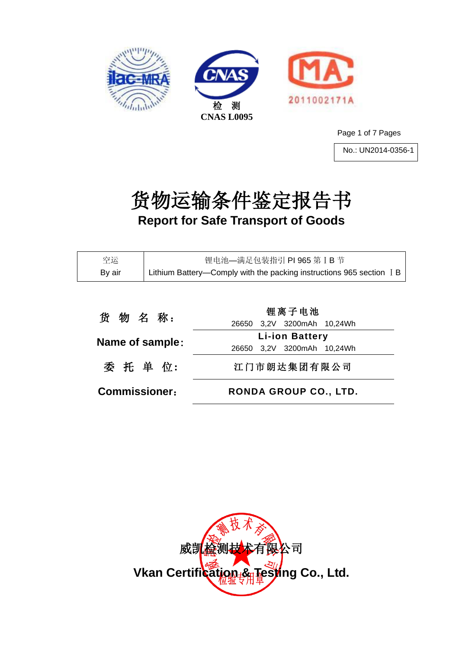





Page 1 of 7 Pages

No.: UN2014-0356-1

# 货物运输条件鉴定报告书 **Report for Safe Transport of Goods**

| 空运     | 锂电池-满足包装指引 PI 965 第 I B 节                                            |
|--------|----------------------------------------------------------------------|
| By air | Lithium Battery—Comply with the packing instructions 965 section I B |

| 货物名称:                | 锂离子电池                                               |  |  |
|----------------------|-----------------------------------------------------|--|--|
| Name of sample:      | 26650 3,2V 3200mAh 10,24Wh<br><b>Li-ion Battery</b> |  |  |
|                      | 26650 3,2V 3200mAh 10,24Wh                          |  |  |
| 委 托 单 位:             | 江门市朗达集团有限公司                                         |  |  |
| <b>Commissioner:</b> | RONDA GROUP CO., LTD.                               |  |  |

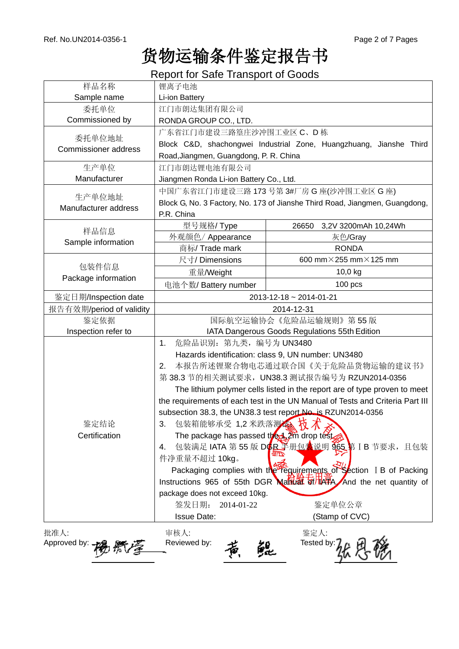## 货物运输条件鉴定报告书

Report for Safe Transport of Goods

| 样品名称                        | 锂离子电池                                                                         |                                        |  |  |
|-----------------------------|-------------------------------------------------------------------------------|----------------------------------------|--|--|
| Sample name                 | Li-ion Battery                                                                |                                        |  |  |
| 委托单位                        | 江门市朗达集团有限公司                                                                   |                                        |  |  |
| Commissioned by             | RONDA GROUP CO., LTD.                                                         |                                        |  |  |
| 委托单位地址                      | 广东省江门市建设三路篁庄沙冲围工业区 C、D栋                                                       |                                        |  |  |
| <b>Commissioner address</b> | Block C&D, shachongwei Industrial Zone, Huangzhuang, Jianshe Third            |                                        |  |  |
|                             | Road, Jiangmen, Guangdong, P. R. China                                        |                                        |  |  |
| 生产单位                        | 江门市朗达锂电池有限公司                                                                  |                                        |  |  |
| Manufacturer                | Jiangmen Ronda Li-ion Battery Co., Ltd.                                       |                                        |  |  |
| 生产单位地址                      | 中国广东省江门市建设三路 173 号第 3#厂房 G 座(沙冲围工业区 G 座)                                      |                                        |  |  |
| Manufacturer address        | Block G, No. 3 Factory, No. 173 of Jianshe Third Road, Jiangmen, Guangdong,   |                                        |  |  |
|                             | P.R. China                                                                    |                                        |  |  |
| 样品信息                        | 型号规格/ Type                                                                    | 3,2V 3200mAh 10,24Wh<br>26650          |  |  |
| Sample information          | 外观颜色/Appearance                                                               | 灰色/Gray                                |  |  |
|                             | 商标/ Trade mark                                                                | <b>RONDA</b>                           |  |  |
|                             | 尺寸/Dimensions                                                                 | 600 mm $\times$ 255 mm $\times$ 125 mm |  |  |
| 包装件信息                       | 重量/Weight                                                                     | 10,0 kg                                |  |  |
| Package information         | 电池个数/ Battery number                                                          | $100$ pcs                              |  |  |
| 鉴定日期/Inspection date        |                                                                               | 2013-12-18 ~ 2014-01-21                |  |  |
| 报告有效期/period of validity    |                                                                               | 2014-12-31                             |  |  |
| 鉴定依据                        | 国际航空运输协会《危险品运输规则》第55版                                                         |                                        |  |  |
| Inspection refer to         | IATA Dangerous Goods Regulations 55th Edition                                 |                                        |  |  |
|                             | 危险品识别: 第九类, 编号为 UN3480<br>1.                                                  |                                        |  |  |
|                             | Hazards identification: class 9, UN number: UN3480                            |                                        |  |  |
|                             | 本报告所述锂聚合物电芯通过联合国《关于危险品货物运输的建议书》<br>2.                                         |                                        |  |  |
|                             | 第 38.3 节的相关测试要求, UN38.3 测试报告编号为 RZUN2014-0356                                 |                                        |  |  |
|                             | The lithium polymer cells listed in the report are of type proven to meet     |                                        |  |  |
|                             | the requirements of each test in the UN Manual of Tests and Criteria Part III |                                        |  |  |
|                             | subsection 38.3, the UN38.3 test report No. is RZUN2014-0356                  |                                        |  |  |
| 鉴定结论                        | 3. 包装箱能够承受 1,2米跌落测输技术参                                                        |                                        |  |  |
| Certification               | The package has passed the 12m drop test                                      |                                        |  |  |
|                             | 包装满足 IATA 第 55 版 DGR 半册包装说明 965 第 IB 节要求, 且包装<br>4.                           |                                        |  |  |
|                             | 件净重量不超过 10kg。                                                                 |                                        |  |  |
|                             | Packaging complies with the requirements of Section I B of Packing            |                                        |  |  |
|                             | Instructions 965 of 55th DGR Manual of HAFA And the net quantity of           |                                        |  |  |
|                             | package does not exceed 10kg.                                                 |                                        |  |  |
|                             | 签发日期:<br>2014-01-22                                                           | 鉴定单位公章                                 |  |  |
|                             | <b>Issue Date:</b>                                                            | (Stamp of CVC)                         |  |  |
| 批准人:                        | 审核人:                                                                          | 鉴定人:                                   |  |  |
| Approved by:                | Reviewed by:                                                                  | Tested by:                             |  |  |
|                             |                                                                               |                                        |  |  |
|                             |                                                                               |                                        |  |  |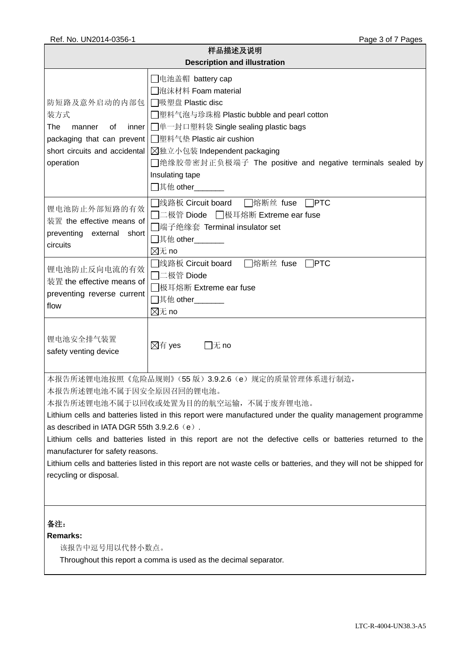| 样品描述及说明<br><b>Description and illustration</b>                                                                                                                                                                                                                                                                                                                                                                                                                                                                                                                                       |                                                                                                                                                                                                                                                                                                  |  |  |  |
|--------------------------------------------------------------------------------------------------------------------------------------------------------------------------------------------------------------------------------------------------------------------------------------------------------------------------------------------------------------------------------------------------------------------------------------------------------------------------------------------------------------------------------------------------------------------------------------|--------------------------------------------------------------------------------------------------------------------------------------------------------------------------------------------------------------------------------------------------------------------------------------------------|--|--|--|
| 防短路及意外启动的内部包<br>装方式<br>The<br>0f<br>inner<br>manner<br>packaging that can prevent<br>short circuits and accidental<br>operation                                                                                                                                                                                                                                                                                                                                                                                                                                                      | □电池盖帽 battery cap<br>□泡沫材料 Foam material<br>□吸塑盘 Plastic disc<br>◯塑料气泡与珍珠棉 Plastic bubble and pearl cotton<br>□单一封口塑料袋 Single sealing plastic bags<br>□塑料气垫 Plastic air cushion<br>⊠独立小包装 Independent packaging<br>□绝缘胶带密封正负极端子 The positive and negative terminals sealed by<br>Insulating tape |  |  |  |
| 锂电池防止外部短路的有效<br>装置 the effective means of<br>preventing external short<br>circuits                                                                                                                                                                                                                                                                                                                                                                                                                                                                                                   | $\Box$ PTC<br>□线路板 Circuit board<br>□熔断丝 fuse<br>コニ极管 Diode □极耳熔断 Extreme ear fuse<br>□端子绝缘套 Terminal insulator set<br>$\boxtimes \pi$ no                                                                                                                                                        |  |  |  |
| 锂电池防止反向电流的有效<br>装置 the effective means of<br>preventing reverse current<br>flow                                                                                                                                                                                                                                                                                                                                                                                                                                                                                                      | □线路板 Circuit board<br>□熔断丝 fuse □PTC<br>$\Box$ 二极管 Diode<br>◯极耳熔断 Extreme ear fuse<br>$\boxtimes \pi$ no                                                                                                                                                                                         |  |  |  |
| 锂电池安全排气装置<br>safety venting device                                                                                                                                                                                                                                                                                                                                                                                                                                                                                                                                                   | ⊠有 yes<br>$\Box$ 无 no                                                                                                                                                                                                                                                                            |  |  |  |
| 本报告所述锂电池按照《危险品规则》(55版) 3.9.2.6 (e) 规定的质量管理体系进行制造,<br>本报告所述锂电池不属于因安全原因召回的锂电池。<br>本报告所述锂电池不属于以回收或处置为目的的航空运输, 不属于废弃锂电池。<br>Lithium cells and batteries listed in this report were manufactured under the quality management programme<br>as described in IATA DGR 55th 3.9.2.6 (e).<br>Lithium cells and batteries listed in this report are not the defective cells or batteries returned to the<br>manufacturer for safety reasons.<br>Lithium cells and batteries listed in this report are not waste cells or batteries, and they will not be shipped for<br>recycling or disposal. |                                                                                                                                                                                                                                                                                                  |  |  |  |
| 备注:<br><b>Remarks:</b><br>该报告中逗号用以代替小数点。                                                                                                                                                                                                                                                                                                                                                                                                                                                                                                                                             | Throughout this report a comma is used as the decimal separator.                                                                                                                                                                                                                                 |  |  |  |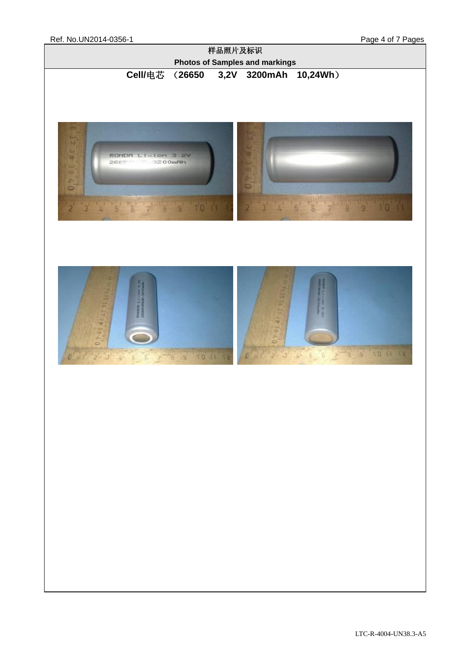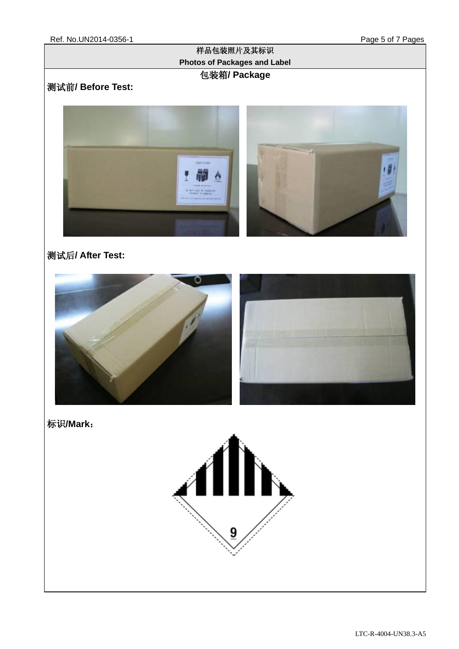#### 样品包装照片及其标识 **Photos of Packages and Label** 包装箱**/ Package**

## 测试前**/ Before Test:**



## 测试后**/ After Test:**



标识**/Mark**:

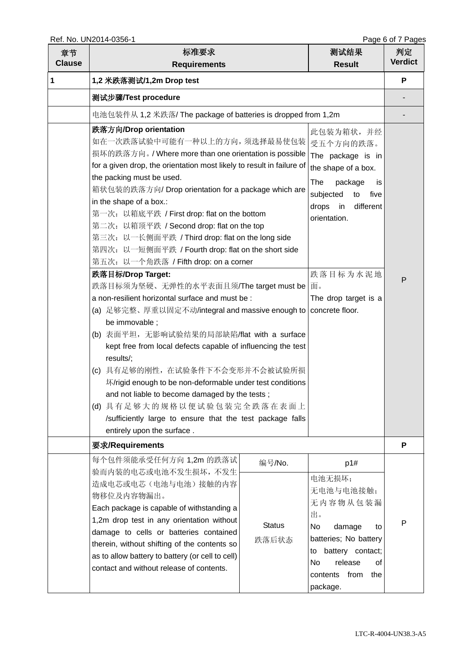| 章节<br><b>Clause</b> | 标准要求<br><b>Requirements</b>                                                                                                                                                                                                                                                                                                                                                                                                                                                                                                                                                                                                                                                                                                                                                                                                                                                                                                                                                                                                                                                                                                                         |                                  | 测试结果<br><b>Result</b>                                                                                                                                                                        | 判定<br><b>Verdict</b> |
|---------------------|-----------------------------------------------------------------------------------------------------------------------------------------------------------------------------------------------------------------------------------------------------------------------------------------------------------------------------------------------------------------------------------------------------------------------------------------------------------------------------------------------------------------------------------------------------------------------------------------------------------------------------------------------------------------------------------------------------------------------------------------------------------------------------------------------------------------------------------------------------------------------------------------------------------------------------------------------------------------------------------------------------------------------------------------------------------------------------------------------------------------------------------------------------|----------------------------------|----------------------------------------------------------------------------------------------------------------------------------------------------------------------------------------------|----------------------|
| 1                   | 1,2 米跌落测试/1,2m Drop test                                                                                                                                                                                                                                                                                                                                                                                                                                                                                                                                                                                                                                                                                                                                                                                                                                                                                                                                                                                                                                                                                                                            |                                  |                                                                                                                                                                                              |                      |
|                     | 测试步骤/Test procedure                                                                                                                                                                                                                                                                                                                                                                                                                                                                                                                                                                                                                                                                                                                                                                                                                                                                                                                                                                                                                                                                                                                                 |                                  |                                                                                                                                                                                              |                      |
|                     | 电池包装件从 1,2 米跌落/ The package of batteries is dropped from 1,2m                                                                                                                                                                                                                                                                                                                                                                                                                                                                                                                                                                                                                                                                                                                                                                                                                                                                                                                                                                                                                                                                                       |                                  |                                                                                                                                                                                              |                      |
|                     | 跌落方向/Drop orientation<br>如在一次跌落试验中可能有一种以上的方向,须选择最易使包装   受五个方向的跌落。<br>损坏的跌落方向。/ Where more than one orientation is possible<br>for a given drop, the orientation most likely to result in failure of<br>the packing must be used.<br>箱状包装的跌落方向/Drop orientation for a package which are<br>in the shape of a box.:<br>第一次: 以箱底平跌 / First drop: flat on the bottom<br>第二次: 以箱顶平跌 / Second drop: flat on the top<br>第三次: 以一长侧面平跌 / Third drop: flat on the long side<br>第四次: 以一短侧面平跌 / Fourth drop: flat on the short side<br>第五次: 以一个角跌落 / Fifth drop: on a corner<br>跌落目标/Drop Target:<br>跌落目标须为坚硬、无弹性的水平表面且须/The target must be<br>a non-resilient horizontal surface and must be:<br>(a) 足够完整、厚重以固定不动/integral and massive enough to   concrete floor.<br>be immovable;<br>(b) 表面平坦, 无影响试验结果的局部缺陷/flat with a surface<br>kept free from local defects capable of influencing the test<br>results/;<br>具有足够的刚性, 在试验条件下不会变形并不会被试验所损<br>(c)<br>坏/rigid enough to be non-deformable under test conditions<br>and not liable to become damaged by the tests;<br>(d) 具有足够大的规格以便试验包装完全跌落在表面上<br>/sufficiently large to ensure that the test package falls |                                  | 此包装为箱状,并经<br>The package is in<br>the shape of a box.<br>The<br>package<br>is.<br>subjected<br>five<br>to<br>different<br>drops in<br>orientation.<br>跌落目标为水泥地<br>面。<br>The drop target is a | P                    |
|                     | 要求/Requirements<br>每个包件须能承受任何方向 1,2m 的跌落试                                                                                                                                                                                                                                                                                                                                                                                                                                                                                                                                                                                                                                                                                                                                                                                                                                                                                                                                                                                                                                                                                                           |                                  |                                                                                                                                                                                              | P                    |
|                     | 验而内装的电芯或电池不发生损坏,不发生<br>造成电芯或电芯(电池与电池)接触的内容<br>物移位及内容物漏出。<br>Each package is capable of withstanding a<br>1,2m drop test in any orientation without<br>damage to cells or batteries contained<br>therein, without shifting of the contents so<br>as to allow battery to battery (or cell to cell)<br>contact and without release of contents.                                                                                                                                                                                                                                                                                                                                                                                                                                                                                                                                                                                                                                                                                                                                                                                                        | 编号/No.<br><b>Status</b><br>跌落后状态 | p1#<br>电池无损坏;<br>无电池与电池接触;<br>无内容物从包装漏<br>出。<br>No.<br>damage<br>to<br>batteries; No battery<br>battery contact;<br>to<br>No<br>release<br>οf<br>from<br>contents<br>the<br>package.         | P                    |